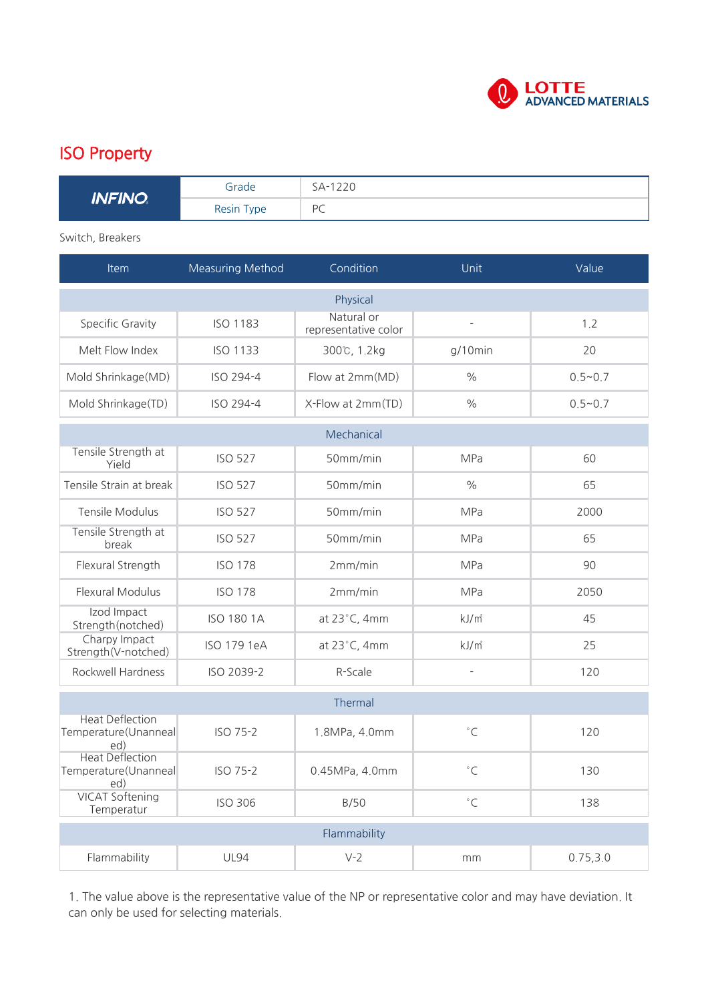

## ISO Property

| <b>INFINO</b> | Grade      | SA-1220      |
|---------------|------------|--------------|
|               | Resin Type | PC<br>$\sim$ |

Switch, Breakers

| <b>Item</b>                                           | Measuring Method  | Condition                          | Unit              | Value       |  |  |
|-------------------------------------------------------|-------------------|------------------------------------|-------------------|-------------|--|--|
| Physical                                              |                   |                                    |                   |             |  |  |
| Specific Gravity                                      | <b>ISO 1183</b>   | Natural or<br>representative color |                   | 1.2         |  |  |
| Melt Flow Index                                       | <b>ISO 1133</b>   | 300℃, 1.2kg                        | $g/10$ min        | 20          |  |  |
| Mold Shrinkage(MD)                                    | ISO 294-4         | Flow at 2mm(MD)                    | $\frac{0}{0}$     | $0.5 - 0.7$ |  |  |
| Mold Shrinkage(TD)                                    | ISO 294-4         | X-Flow at 2mm(TD)                  | $\%$              | $0.5 - 0.7$ |  |  |
| Mechanical                                            |                   |                                    |                   |             |  |  |
| Tensile Strength at<br>Yield                          | <b>ISO 527</b>    | 50mm/min                           | <b>MPa</b>        | 60          |  |  |
| Tensile Strain at break                               | <b>ISO 527</b>    | 50mm/min                           | $\%$              | 65          |  |  |
| <b>Tensile Modulus</b>                                | <b>ISO 527</b>    | 50mm/min                           | <b>MPa</b>        | 2000        |  |  |
| Tensile Strength at<br>break                          | <b>ISO 527</b>    | 50mm/min                           | <b>MPa</b>        | 65          |  |  |
| Flexural Strength                                     | <b>ISO 178</b>    | 2mm/min                            | <b>MPa</b>        | 90          |  |  |
| Flexural Modulus                                      | <b>ISO 178</b>    | 2mm/min                            | <b>MPa</b>        | 2050        |  |  |
| Izod Impact<br>Strength(notched)                      | <b>ISO 180 1A</b> | at 23°C, 4mm                       | kJ/m <sup>2</sup> | 45          |  |  |
| Charpy Impact<br>Strength(V-notched)                  | ISO 179 1eA       | at 23°C, 4mm                       | $kJ/m^2$          | 25          |  |  |
| Rockwell Hardness                                     | ISO 2039-2        | R-Scale                            | $\overline{a}$    | 120         |  |  |
| Thermal                                               |                   |                                    |                   |             |  |  |
| <b>Heat Deflection</b><br>Temperature(Unanneal<br>ed) | ISO 75-2          | 1.8MPa, 4.0mm                      | $^{\circ}$ C      | 120         |  |  |
| <b>Heat Deflection</b><br>Temperature(Unanneal<br>ed) | ISO 75-2          | 0.45MPa, 4.0mm                     | $^{\circ}{\sf C}$ | 130         |  |  |
| <b>VICAT Softening</b><br>Temperatur                  | <b>ISO 306</b>    | B/50                               | $^{\circ}$ C      | 138         |  |  |
| Flammability                                          |                   |                                    |                   |             |  |  |
| Flammability                                          | <b>UL94</b>       | $V-2$                              | mm                | 0.75, 3.0   |  |  |

1. The value above is the representative value of the NP or representative color and may have deviation. It can only be used for selecting materials.